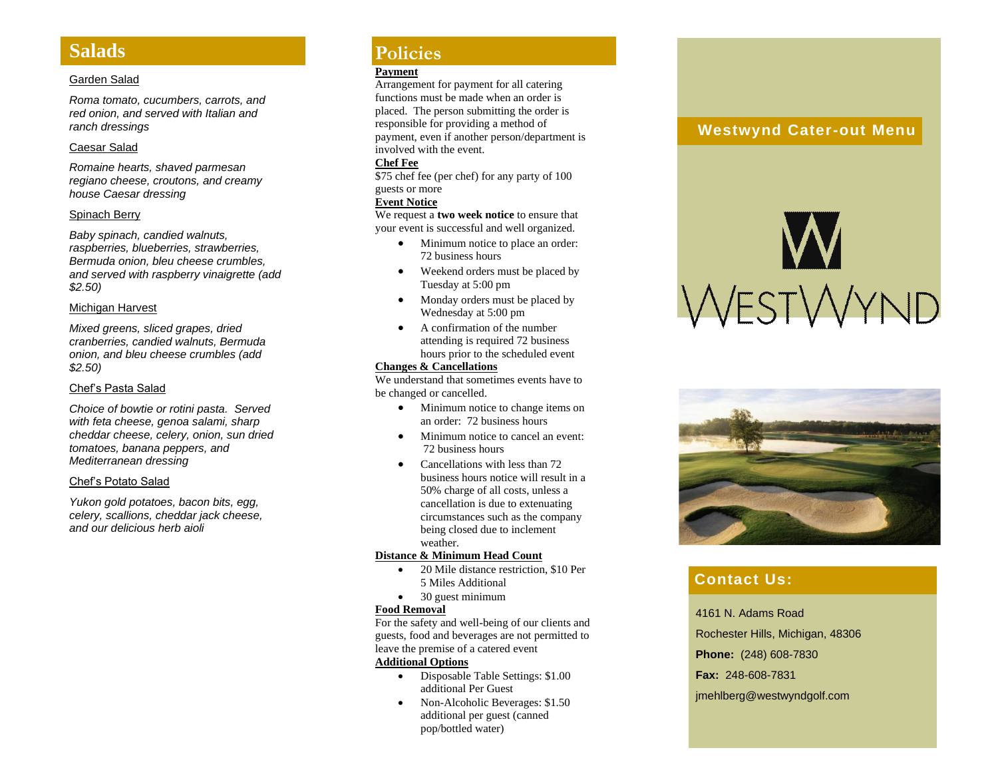## **Salads**

**Policies**

#### Garden Salad

*Roma tomato, cucumbers, carrots, and red onion, and served with Italian and ranch dressings*

#### Caesar Salad

*Romaine hearts, shaved parmesan regiano cheese, croutons, and creamy house Caesar dressing*

#### Spinach Berry

*Baby spinach, candied walnuts, raspberries, blueberries, strawberries, Bermuda onion, bleu cheese crumbles, and served with raspberry vinaigrette (add \$2.50)*

#### Michigan Harvest

*Mixed greens, sliced grapes, dried cranberries, candied walnuts, Bermuda onion, and bleu cheese crumbles (add \$2.50)*

#### Chef's Pasta Salad

*Choice of bowtie or rotini pasta. Served with feta cheese, genoa salami, sharp cheddar cheese, celery, onion, sun dried tomatoes, banana peppers, and Mediterranean dressing*

#### Chef's Potato Salad

*Yukon gold potatoes, bacon bits, egg, celery, scallions, cheddar jack cheese, and our delicious herb aioli*

## **Policies**

#### **Payment**

Arrangement for payment for all catering functions must be made when an order is placed. The person submitting the order is responsible for providing a method of payment, even if another person/department is involved with the event.

#### **Chef Fee**

\$75 chef fee (per chef) for any party of 100 guests or more

#### **Event Notice**

We request a **two week notice** to ensure that your event is successful and well organized.

- Minimum notice to place an order: 72 business hours
- Weekend orders must be placed by Tuesday at 5:00 pm
- Monday orders must be placed by Wednesday at 5:00 pm
- A confirmation of the number attending is required 72 business hours prior to the scheduled event

#### **Changes & Cancellations**

We understand that sometimes events have to be changed or cancelled.

- Minimum notice to change items on an order: 72 business hours
- Minimum notice to cancel an event: 72 business hours
- Cancellations with less than 72 business hours notice will result in a 50% charge of all costs, unless a cancellation is due to extenuating circumstances such as the company being closed due to inclement weather.

#### **Distance & Minimum Head Count**

- 20 Mile distance restriction, \$10 Per 5 Miles Additional
- 30 guest minimum

#### **Food Removal**

For the safety and well -being of our clients and guests, food and beverages are not permitted to leave the premise of a catered event

#### **Additional Options**

- Disposable Table Settings: \$1.00 additional Per Guest
- Non-Alcoholic Beverages: \$1.50 additional per guest (canned pop/bottled water)

### **Westwynd Cater -out Menu**





## **Contact Us:**

4161 N. Adams Road Rochester Hills, Michigan, 48306 **Phone:** (248) 608 -7830 **Fax:** 248 -608 -7831 jmehlberg@westwyndgolf.com